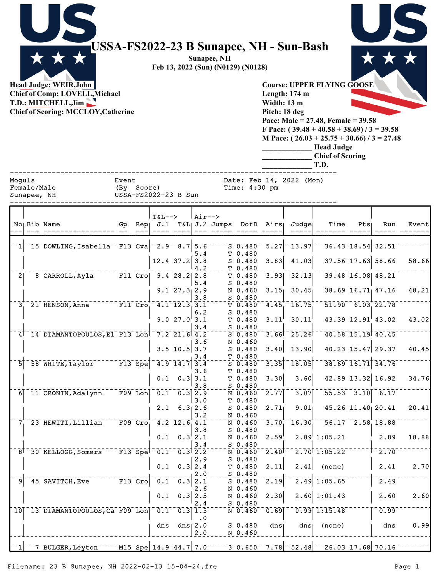|                                                                                                                                      | USSA-FS2022-23 B Sunapee, NH - Sun-Bash<br>Sunapee, NH<br>Feb 13, 2022 (Sun) (N0129) (N0128) |                                                                                                                                                                                                                                                                                           |
|--------------------------------------------------------------------------------------------------------------------------------------|----------------------------------------------------------------------------------------------|-------------------------------------------------------------------------------------------------------------------------------------------------------------------------------------------------------------------------------------------------------------------------------------------|
| Head Judge: WEIR, John<br><b>Chief of Comp: LOVELL, Michael</b><br>T.D.: MITCHELL, Jim<br><b>Chief of Scoring: MCCLOY, Catherine</b> |                                                                                              | <b>Course: UPPER FLYING GOOSE</b><br>Length: $174$ m<br>Width: 13 m<br>Pitch: 18 deg<br>Pace: Male = $27.48$ , Female = $39.58$<br>F Pace: $(39.48 + 40.58 + 38.69) / 3 = 39.58$<br>M Pace: $(26.03 + 25.75 + 30.66) / 3 = 27.48$<br><b>Head Judge</b><br><b>Chief of Scoring</b><br>T.D. |
| Moguls<br>Female/Male<br>Sunapee, NH                                                                                                 | Event<br>Score)<br>(By<br>USSA-FS2022-23 B Sun                                               | Date: Feb 14, 2022 (Mon)<br>Time: $4:30$ pm                                                                                                                                                                                                                                               |
| No Bib Name                                                                                                                          | $Air--$<br>$T&L--\n$<br>Rep. $J.1$ T&L $J.2$ Jumps<br>Go                                     | DofD Airst Judget<br>Time<br>Pts<br><b>Run</b><br>Fventl                                                                                                                                                                                                                                  |

|                | No Bib Name                                                         | Gp                   | Rep |                            |                                                 |                  | J.1 T&L J.2 Jumps DofD Airs |                   | Judge                     | Time                       | Pts                     | Run                   | Event |
|----------------|---------------------------------------------------------------------|----------------------|-----|----------------------------|-------------------------------------------------|------------------|-----------------------------|-------------------|---------------------------|----------------------------|-------------------------|-----------------------|-------|
| $\overline{1}$ | 15 DOWLING, Isabella F13 Cva 2.9 8.7 5.6                            |                      |     |                            |                                                 |                  | $S$ 0.480                   |                   | $5.27$ <sup>-13.97</sup>  |                            | $36.43$ $18.54$ $32.51$ |                       |       |
|                |                                                                     |                      |     |                            |                                                 | 5.4              | T 0.480                     |                   |                           |                            |                         |                       |       |
|                |                                                                     |                      |     |                            | $12.4$ 37.2 3.8                                 |                  | $S$ 0.480                   | 3.83              | 41.03                     |                            | 37.56 17.63 58.66       |                       | 58.66 |
| $\overline{2}$ | 8 CARROLL, Ayla F11 Cro 9.4 28.2 2.8                                |                      |     |                            |                                                 | 4.2              | T 0.480<br>$T$ 0.480        | 3.93              | 32.13                     |                            | 39.48 16.08 48.21       |                       |       |
|                |                                                                     |                      |     |                            |                                                 | 5.4              | $S$ 0.480                   |                   |                           |                            |                         |                       |       |
|                |                                                                     |                      |     |                            | 9.127.322.9                                     |                  | N 0.460                     | 3.15              | 30.45                     |                            | $38.69$ 16.71 47.16     |                       | 48.21 |
|                | $3^{\circ}$ 21 HENSON, Anna <sup>-------</sup> F11 Cro <sub>1</sub> |                      |     |                            | $\frac{1}{4.1}$ $\frac{1}{2.3}$ $\frac{1}{3.1}$ | 3.8              | $S$ 0.480<br>T 0.480        | 4.45              | 16.75                     |                            | $51.90 - 6.03$ 22.78    |                       |       |
|                |                                                                     |                      |     |                            |                                                 | 6.2              | $S$ 0.480                   |                   |                           |                            |                         |                       |       |
|                |                                                                     |                      |     |                            | 9.027.03.1                                      |                  | T 0.480                     | 3.11              | 30.11                     |                            | 43.39 12.91 43.02       |                       | 43.02 |
|                |                                                                     |                      |     |                            |                                                 | 3.4              | $S$ 0.480                   |                   |                           |                            |                         |                       |       |
|                | 4 <sup>1-14</sup> DIAMANTOPOULOS, El F13 Lon <sup>1</sup>           |                      |     |                            | $7.2$ $21.6$ $4.2$                              |                  | $S$ 0.480                   |                   | $3.66$ <sup>1</sup> 25.26 |                            | 40.58 15.19 40.45       |                       |       |
|                |                                                                     |                      |     |                            | $3.5$ 10.5 3.7                                  | 3.6              | N 0.460<br>$S$ 0.480        | 3.40              | 13.90                     |                            | 40.23 15.47 29.37       |                       | 40.45 |
|                |                                                                     |                      |     |                            |                                                 | 3.4              | T 0.480                     |                   |                           |                            |                         |                       |       |
| 51             | 58 WHITE, Taylor F13 Spe                                            |                      |     |                            | $4.9$ 14.7 3.4                                  |                  | $S$ 0.480                   | $\overline{3.35}$ | 18.05                     |                            | 38.69 16.71 34.76       |                       |       |
|                |                                                                     |                      |     |                            |                                                 | 3.6              | T 0.480                     |                   |                           |                            |                         |                       |       |
|                |                                                                     |                      |     |                            | $0.1 \quad 0.3 \mid 3.1$                        | 3.8              | T 0.480<br>S 0.480          | 3.30              | 3.60                      |                            | 42.89 13.32 16.92       |                       | 34.76 |
|                | 6 11 CRONIN, Adalynn                                                | $F09$ Lon            |     | 0.1                        | $\overline{0.3}$ $\overline{2.9}$               |                  | N 0.460                     | 2.77              | 3.07                      |                            |                         | $55.53 - 3.10 - 6.17$ |       |
|                |                                                                     |                      |     |                            |                                                 | 3.0              | T 0.480                     |                   |                           |                            |                         |                       |       |
|                |                                                                     |                      |     | 2.1                        |                                                 | $6.3 \, 2.6$     | $S$ 0.480                   | 2.71              | 9.01                      |                            | 45.26 11.40 20.41       |                       | 20.41 |
|                | 7 23 HEWITT, Lillian                                                |                      |     | $F09$ Cro $4.2$ 12.6 $4.1$ |                                                 | 3.2              | N 0.460<br>$N$ 0.460        | $3.70^{+}$        | $16.30^{+}$               |                            | $56.17 - 2.58$ , 18.88  |                       |       |
|                |                                                                     |                      |     |                            |                                                 | 3.8              | $S$ 0.480                   |                   |                           |                            |                         |                       |       |
|                |                                                                     |                      |     |                            | $0.1 \quad 0.3^{1} 2.1$                         |                  | N 0.460                     | 2.59              |                           | $2.89$ <sup>1</sup> :05.21 |                         | 2.89                  | 18.88 |
|                |                                                                     |                      |     |                            |                                                 | 3.4              | $S$ 0.480                   |                   |                           |                            |                         |                       |       |
|                | 8 <sup>1</sup> 30 KELLOGG, Somers                                   | $\overline{F13}$ Spe |     | $\bar{0.1}^{-}$            | $-0.3$ $\overline{2.2}$                         | 2.9              | N 0.460<br>$S$ 0.480        | 2.40              |                           | $2.70$ <sup>1</sup> :05.22 |                         | $-2.70$               |       |
|                |                                                                     |                      |     | 0.1                        |                                                 | $0.3$ 2.4        | T 0.480                     | 2.11              | 2.41                      | (none)                     |                         | 2.41                  | 2.70  |
|                |                                                                     |                      |     |                            |                                                 | 2.0              | S 0.480                     |                   |                           |                            |                         |                       |       |
| 91             | 45 SAVITCH, Eve F13 Cro                                             |                      |     | $0.1^{-}$                  | $\overline{0.3}$ $\overline{2.1}$               |                  | $S$ 0.480                   | 2.19              |                           | $2.49$ 1:05.65             |                         | 2.49                  |       |
|                |                                                                     |                      |     | 0.1                        |                                                 | 2.6<br>$0.3$ 2.5 | N 0.460<br>N 0.460          | 2.30              |                           | $2.60 \mid 1:01.43$        |                         | 2.60                  | 2.60  |
|                |                                                                     |                      |     |                            |                                                 | 2.4              | $S$ 0.480                   |                   |                           |                            |                         |                       |       |
|                | 10 13 DIAMANTOPOULOS, Ca F09 Lon                                    |                      |     | $0.1^{-}$                  | $\overline{0.3}$ 1.5                            |                  | N 0.460                     | 0.69              |                           | $0.99$ 1:15.48             |                         | 0.99                  |       |
|                |                                                                     |                      |     |                            |                                                 | $\cdot$ 0        |                             |                   |                           |                            |                         |                       |       |
|                |                                                                     |                      |     | dns                        |                                                 | dns $2.0$<br>2.0 | $S_0.480$                   | dns               | dns <sub>1</sub>          | (none)                     |                         | dns                   | 0.99  |
|                |                                                                     |                      |     |                            |                                                 |                  | N 0.460                     |                   |                           |                            |                         |                       |       |
| $\bar{1}$      | 7 BULGER, Leyton M15 Spe 14.9 44.7 7.0                              |                      |     |                            |                                                 |                  | $3 - 0.650$                 |                   | $7.78$ <sup>-52.48</sup>  | $26.03$ 17.68 70.16        |                         |                       |       |

Filename: 23 B Sunapee, NH 2022-02-13 15-04-24.fre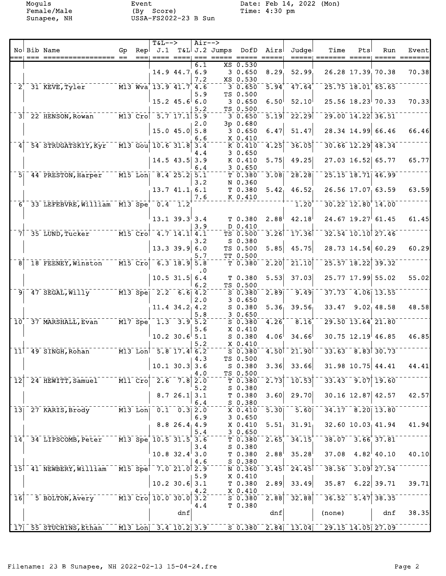Female/Male (By Score) Time: 4:30 pm Sunapee, NH USSA-FS2022-23 B Sun

Moguls Event Event Date: Feb 14, 2022 (Mon)<br>Female/Male (By Score) Time: 4:30 pm

|                            |      | No Bib Name                                                                         | Gp                                | Repl | $T&L-->$<br>J.1                  |                     | $Air--$    | T&L J.2 Jumps DofD Airs |                                    |                       | Judgel                    | Time                                   | Pts | Run                     | Event                     |
|----------------------------|------|-------------------------------------------------------------------------------------|-----------------------------------|------|----------------------------------|---------------------|------------|-------------------------|------------------------------------|-----------------------|---------------------------|----------------------------------------|-----|-------------------------|---------------------------|
|                            | $==$ |                                                                                     |                                   | $==$ |                                  |                     |            | _____ ___ ____ _____    |                                    |                       | =====                     |                                        |     |                         |                           |
|                            |      |                                                                                     |                                   |      |                                  | $14.9$ $44.7$ 6.9   | 6.1        |                         | XS 0.530<br>30.650                 | 8.29                  | 52.99                     |                                        |     | 26.28 17.39 70.38       | 70.38                     |
|                            |      |                                                                                     |                                   |      |                                  |                     | 7.2        |                         | XS 0.530                           |                       |                           |                                        |     |                         |                           |
|                            |      | $2^{\dagger}$ 31 KEVE, Tyler $13.9$ Wva $13.9$ 41.7 4.6                             |                                   |      |                                  |                     | 5.9        |                         | $-3.0.650$<br>TS 0.500             | $\overline{5.94}^{+}$ | 47.64                     |                                        |     | 25.75 18.01 65.65       |                           |
|                            |      |                                                                                     |                                   |      |                                  | $15.2$ 45.6 6.0     |            |                         | 30.650                             | 6.50                  | 52.10                     |                                        |     | $25.56$ 18.23 70.33     | 70.33                     |
|                            |      | 3 22 HENSON, Rowan M13 Cro 5.7 17.1 5.9                                             |                                   |      |                                  |                     | 5.2        |                         | TS 0.500<br>30.650                 |                       | $5.19$ <sup>-</sup> 22.29 |                                        |     | 29.00 14.22 36.51       |                           |
|                            |      |                                                                                     |                                   |      |                                  |                     | 2.0        |                         | $3p$ 0.680                         |                       |                           |                                        |     |                         |                           |
|                            |      |                                                                                     |                                   |      |                                  | $15.0$ 45.0 5.8     | 6.6        |                         | 30.650<br>X 0.410                  | 6.47                  | 51.47                     |                                        |     | 28.34 14.99 66.46       | 66.46                     |
|                            |      | 54 STRUGATSKIY, Kyr <sup>-1</sup> M13 Gou 10.6 31.8 3.4                             |                                   |      |                                  |                     | 4.4        |                         | K0.410<br>30.650                   | 4.25                  | 36.05                     |                                        |     | 30.66 12.29 48.34       |                           |
|                            |      |                                                                                     |                                   |      |                                  | $14.5$ 43.5 3.9     | 6.4        |                         | K 0.410<br>30.650                  | 5.75                  | 49.25                     |                                        |     | 27.03 16.52 65.77       | 65.77                     |
|                            |      | 5 44 PRESTON, Harper M15 Lon 8.4 25.2 5.1                                           |                                   |      |                                  |                     |            |                         | T 0.380                            | 3.08                  | $-28.28$                  |                                        |     | 25.15 18.71 46.99       |                           |
|                            |      |                                                                                     |                                   |      |                                  | 13.741.16.1         | 3.2        |                         | N 0.360<br>T <sub>0.380</sub>      | 5.42 <sub>1</sub>     | 46.52                     |                                        |     | 26.56 17.07 63.59       | 63.59                     |
|                            |      | $6^{\dagger}$ 33 LEFEBVRE, William M13 Spe $0.4$ 1.2                                |                                   |      |                                  |                     | 7.6        |                         | K 0.410                            |                       | 1.20                      |                                        |     | 30.22 12.80 14.00       |                           |
|                            |      |                                                                                     |                                   |      |                                  |                     |            |                         |                                    |                       |                           |                                        |     |                         |                           |
|                            |      |                                                                                     |                                   |      |                                  | $13.1$ $39.3$ 3.4   | 3.9        |                         | T 0.380<br>D 0.410                 |                       | $2.88^{ }$ 42.18          |                                        |     | $24.67$ 19.27 61.45     | 61.45                     |
|                            |      | 7 35 LUND, Tucker M15 Cro 4.7 14.1 4.1                                              |                                   |      |                                  |                     |            |                         | TS 0.500                           | 3.26                  | $-17.36$                  |                                        |     | 32.54 10.10 27.46       |                           |
|                            |      |                                                                                     |                                   |      |                                  | $13.3$ 39.9 6.0     | 3.2        |                         | $S$ 0.380<br>TS 0.500              | 5.85                  | 45.75                     |                                        |     | 28.73 14.54 60.29       | 60.29                     |
| $\overline{8}$             |      | 18 FEENEY, Winston M15 Cro 6.3 18.9 5.8                                             |                                   |      |                                  |                     | 5.7        |                         | TT 0.500<br>T 0.380                | $\overline{2.20}$     | 21.10                     |                                        |     | 25.57 18.22 39.32       |                           |
|                            |      |                                                                                     |                                   |      |                                  |                     | . 0        |                         |                                    |                       |                           |                                        |     |                         |                           |
|                            |      |                                                                                     |                                   |      |                                  | $10.5$ 31.5 6.4     | 6.2        |                         | T 0.380<br>TS 0.500                | 5.53                  | 37.03                     |                                        |     | 25.77 17.99 55.02       | 55.02                     |
|                            |      | 9 47 SEGAL, Willy M13 Spe 2.2 6.6 4.2                                               |                                   |      |                                  |                     |            |                         | $S$ 0.380                          | 2.89                  | 9.49                      |                                        |     | $37.73 - 4.06$ 13.55    |                           |
|                            |      |                                                                                     |                                   |      |                                  | $11.4$ 34.2 4.2     | 2.0        |                         | 30.650<br>$S$ 0.380                | 5.36                  | 39.56                     |                                        |     | $33.47$ 9.02 48.58      | 48.58                     |
|                            |      |                                                                                     |                                   |      |                                  |                     | 5.8        |                         | 30.650                             |                       |                           |                                        |     |                         |                           |
| 10 <sup>1</sup>            |      | 37 MARSHALL, Evan M17 Spe <sup>+</sup> 1.3 3.9 5.2                                  |                                   |      |                                  |                     | 5.6        |                         | $S^{\text{-}}0.380^{-}$<br>X 0.410 | 4.26                  | $\bar{\phantom{a}}$ 8.16  |                                        |     | 29.50 13.64 21.80       |                           |
|                            |      |                                                                                     |                                   |      |                                  | $10.2$ 30.6 5.1     |            |                         | S 0.380                            | 4.06                  | 34.66                     |                                        |     | $30.75$ 12.19 46.85     | 46.85                     |
|                            |      | 11 <sup>-</sup> 49 SINGH, Rohan <sup>-----</sup> M13 Lon <sup>1-5</sup> .8 17.4 6.2 |                                   |      |                                  |                     | 5.2        |                         | X 0.410<br>$S$ 0.380               |                       | $4.50$ <sup>-</sup> 21.90 |                                        |     | $33.63$ $8.83$ $30.73$  |                           |
|                            |      |                                                                                     |                                   |      |                                  | $10.1$ 30.3 3.6     | 4.3        |                         | TS 0.500                           |                       | $S$ 0.380 3.36 33.66      |                                        |     |                         | $31.98$ 10.75 44.41 44.41 |
|                            |      |                                                                                     |                                   |      |                                  |                     | 4.0        |                         | TS 0.500                           |                       |                           |                                        |     |                         |                           |
| $\overline{1}\overline{2}$ |      | 24 HEWITT, Samuel                                                                   | $\overline{M11}$ $\overline{Cro}$ |      | 2.6                              | 7.81                | 2.0<br>5.2 |                         | $T$ 0.380<br>$S$ 0.380             | $\overline{2.73}$     | 10.53                     |                                        |     | $33.43 - 9.07$ 19.60    |                           |
|                            |      |                                                                                     |                                   |      |                                  | 8.7, 26.1           | 3.1        |                         | T <sub>0.380</sub>                 | 3.60                  | 29.70                     |                                        |     | $30.16$ 12.87 42.57     | 42.57                     |
| 13                         |      | 27 KARIS, Brody                                                                     | $M13$ Lon                         |      |                                  | $0.1 \quad 0.3$ 2.0 | 6.4        |                         | S 0.380<br>X 0.410                 | $\overline{5.30}$     | 5.60                      |                                        |     | 34.17 8.20 13.80        |                           |
|                            |      |                                                                                     |                                   |      |                                  | $8.8$ 26.4 4.9      | 6.9        |                         | 30.650<br>X 0.410                  | 5.51                  | 31.91                     |                                        |     | $32.60$ $10.03$ $41.94$ | 41.94                     |
|                            |      |                                                                                     |                                   |      |                                  |                     | 5.4        |                         | 30.650                             |                       |                           |                                        |     |                         |                           |
| 14 <sup>1</sup>            |      | 34 LIPSCOMB, Peter                                                                  |                                   |      | M13 Spe 10.5 31.5 3.6            |                     | 3.4        |                         | T 0.380<br>$S$ 0.380               | 2.65                  | 34.15                     |                                        |     | $38.07 - 3.66$ 37.81    |                           |
|                            |      |                                                                                     |                                   |      |                                  | $10.8$ 32.4 3.0     |            |                         | T 0.380                            | 2.88                  | 35.28                     |                                        |     | $37.08$ 4.82 40.10      | 40.10                     |
|                            |      | 15 41 NEWBERY, William                                                              | $\overline{M15}$ Spel             |      | 7.021.023                        |                     | 4.6        |                         | $S$ 0.380<br>N 0.360               | 3.45                  | $-24.45$                  |                                        |     | 38.56 3.09 27.54        |                           |
|                            |      |                                                                                     |                                   |      |                                  | $10.2$ 30.6 3.1     | 5.9        |                         | X 0.410<br>T <sub>0.380</sub>      | 2.89                  | 33.49                     | 35.87                                  |     | $6.22$ 39.71            | 39.71                     |
|                            |      |                                                                                     |                                   |      |                                  |                     | 4.2        |                         | X 0.410                            |                       |                           |                                        |     |                         |                           |
| $\overline{1}\overline{6}$ |      | 5 BOLTON, Avery                                                                     |                                   |      | $\overline{M13}$ Cro $10.0$ 30.0 |                     | 3.2<br>4.4 |                         | $S$ 0.380<br>T 0.380               | $\overline{2.88}$     | 32.88                     | 36.52                                  |     | $\overline{5.47}$ 38.35 |                           |
|                            |      |                                                                                     |                                   |      |                                  | dnf                 |            |                         |                                    | dnf                   |                           | (none)                                 |     | dnf                     | 38.35                     |
|                            |      | 17 55 STUCHINS, Ethan                                                               |                                   |      | M13 Lon 3.4 10.2 3.9             |                     |            |                         |                                    |                       |                           | $S$ 0.380 2.84 13.04 29.15 14.05 27.09 |     |                         |                           |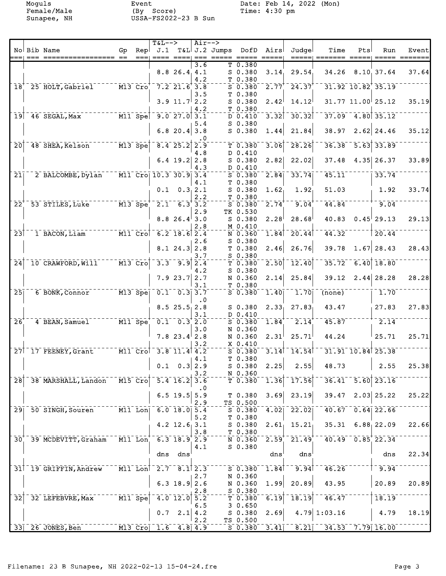Female/Male (By Score) Time: 4:30 pm Sunapee, NH USSA-FS2022-23 B Sun

Moguls Event Event Date: Feb 14, 2022 (Mon)<br>Female/Male (By Score) Time: 4:30 pm

|                            |      |                                          |                                                      |      | $T&L-->$                                           |                            | Air-->    |                     |              |                     |                                     |                      |     |                           |       |
|----------------------------|------|------------------------------------------|------------------------------------------------------|------|----------------------------------------------------|----------------------------|-----------|---------------------|--------------|---------------------|-------------------------------------|----------------------|-----|---------------------------|-------|
|                            |      | No Bib Name                              | Gp                                                   | Repl |                                                    |                            |           | $J.1$ T&L J.2 Jumps | DofD         | Airs                | Judgel                              | Time                 | Pts | Run                       | Event |
|                            | $==$ |                                          |                                                      | $==$ |                                                    |                            |           |                     |              | $== == ==$          | =====                               |                      |     |                           |       |
|                            |      |                                          |                                                      |      |                                                    |                            | 3.6       |                     | T 0.380      |                     |                                     |                      |     |                           |       |
|                            |      |                                          |                                                      |      |                                                    | $8.8$ 26.4 4.1             |           |                     | $S$ 0.380    | 3.14                | 29.54                               | 34.26                |     | 8.10, 37.64               | 37.64 |
|                            |      |                                          |                                                      |      |                                                    |                            | 4.2       |                     | T 0.380      |                     |                                     |                      |     |                           |       |
| $\bar{1}8^{\dagger}$       |      | 25 HOLT, Gabriel                         |                                                      |      | $-$ M13 Cro $^+$ 7.2 21.6 3.8                      |                            |           |                     | $S$ 0.380    |                     | $2.77^{+ -}$ $24.37^{+}$            |                      |     | $31.92$ $10.82$ $35.19$   |       |
|                            |      |                                          |                                                      |      |                                                    |                            | 3.5       |                     | T 0.380      |                     |                                     |                      |     |                           |       |
|                            |      |                                          |                                                      |      |                                                    | $3.9$ 11.7 $2.2$           |           |                     | $S$ 0.380    | 2.42                | 14.12                               |                      |     | $31.77$ $11.00$ 25.12     | 35.19 |
|                            |      |                                          |                                                      |      |                                                    |                            | 4.2       |                     | T 0.380      |                     |                                     |                      |     |                           |       |
|                            |      | ------- M11 Spe<br>$19$ 46 SEGAL, Max    |                                                      |      |                                                    | $\frac{1}{2}$ 9.0 27.0 3.1 |           |                     | $D$ 0.410    | 3.32                | $-30.32$                            |                      |     | $37.09$ 4.80 35.12        |       |
|                            |      |                                          |                                                      |      |                                                    |                            | 5.4       |                     | $S$ 0.380    |                     |                                     |                      |     |                           |       |
|                            |      |                                          |                                                      |      |                                                    | 6.8 20.4 3.8               |           |                     | $S$ 0.380    | 1.44                | 21.84                               | 38.97                |     | $2.62$ 24.46              | 35.12 |
|                            |      |                                          |                                                      |      |                                                    |                            | $\cdot$ 0 |                     |              |                     |                                     |                      |     |                           |       |
| $\overline{20}$            |      | 48 SHEA, Kelson                          | $M13$ Spe                                            |      |                                                    | $\overline{8.4}$ 25.2      | 2.9       |                     | T 0.380      | 3.06                | 28.26                               | 36.38                |     | $\overline{5.63}$ 33.89   |       |
|                            |      |                                          |                                                      |      |                                                    |                            | 4.8       |                     | D 0.410      |                     |                                     |                      |     |                           |       |
|                            |      |                                          |                                                      |      |                                                    | $6.4$ 19.2 2.8             |           |                     | S 0.380      | 2.82                | 22.02                               | 37.48                |     | $4.35$ 26.37              | 33.89 |
|                            |      |                                          |                                                      |      |                                                    |                            | 4.3       |                     | D 0.410      |                     |                                     |                      |     |                           |       |
| $\overline{21}$            |      | 2 BALCOMBE, Dylan                        |                                                      |      | $\overline{M11}$ Cro 10.3 30.9 3.4                 |                            |           |                     | $S$ 0.380    | 2.84                | 33.74                               | 45.11                |     | 33.74                     |       |
|                            |      |                                          |                                                      |      |                                                    |                            | 4.1       |                     | T 0.380      |                     |                                     |                      |     |                           |       |
|                            |      |                                          |                                                      |      |                                                    | $0.1 \quad 0.3, 2.1$       |           |                     | $S$ 0.380    | $1.62_1$            | 1.92                                | 51.03                |     | 1.92                      | 33.74 |
|                            |      |                                          |                                                      |      |                                                    |                            | 2.2       |                     | T 0.380      |                     |                                     |                      |     |                           |       |
| $22^{\degree}$             |      | 53 STILES, Luke                          |                                                      |      | $M13$ Spe <sup><math>-2.1</math></sup> 6.3 3.2     |                            |           |                     | $S$ 0.380    | 2.74                | 9.04                                | 44.84                |     | 9.04                      |       |
|                            |      |                                          |                                                      |      |                                                    |                            | 2.9       |                     | TK 0.530     |                     |                                     |                      |     |                           |       |
|                            |      |                                          |                                                      |      |                                                    | $8.8$ 26.4 3.0             |           |                     | $S$ 0.380    | 2.28                | 28.68                               | 40.83                |     | $0.45$ <sup>29.13</sup>   | 29.13 |
|                            |      |                                          |                                                      |      |                                                    |                            |           |                     |              |                     |                                     |                      |     |                           |       |
|                            |      |                                          | $\overline{\texttt{M11}}$ $\overline{\texttt{Crol}}$ |      |                                                    | $-6.2$ 18.6 2.4            | 2.8       |                     | M 0.410      |                     | $1.\overline{84}$ <sup>-20.44</sup> | 44.32                |     | 20.44                     |       |
| $\overline{2}\overline{3}$ |      | 1 BACON, Liam                            |                                                      |      |                                                    |                            |           |                     | N 0.360      |                     |                                     |                      |     |                           |       |
|                            |      |                                          |                                                      |      |                                                    |                            | 2.6       |                     | $S$ 0.380    |                     |                                     |                      |     |                           |       |
|                            |      |                                          |                                                      |      |                                                    | $8.1$ 24.3 2.8             |           |                     | T0.380       | 2.46                | 26.76                               | 39.78                |     | $1.67$ 28.43              | 28.43 |
|                            |      |                                          |                                                      |      |                                                    |                            | 3.7       |                     | $S$ 0.380    |                     |                                     |                      |     |                           |       |
| $\overline{24}$            |      | 10 CRAWFORD, Will 77 M13 Cro             |                                                      |      |                                                    | $3.3 - 9.9$                | 2.4       |                     | T 0.380      | $\overline{2.50}$   | 12.40                               | 35.72                |     | $6.40$ 18.80              |       |
|                            |      |                                          |                                                      |      |                                                    |                            | 4.2       |                     | $S$ 0.380    |                     |                                     |                      |     |                           |       |
|                            |      |                                          |                                                      |      |                                                    | 7.923.72.7                 |           |                     | N 0.360      | 2.14                | 25.84                               | 39.12                |     | $2.44$ 28.28              | 28.28 |
|                            |      |                                          |                                                      |      |                                                    |                            | 3.1       |                     | T 0.380      |                     |                                     |                      |     |                           |       |
| $\overline{25}$            |      | 6 BONK, Connor M13 Spel                  |                                                      |      | $\overline{0.1}$ $\overline{0.3}$ $\overline{3.7}$ |                            |           |                     | $S$ 0.380    | 1.40                | 1.70                                | (none)               |     | 1.70                      |       |
|                            |      |                                          |                                                      |      |                                                    |                            | $\cdot$ 0 |                     |              |                     |                                     |                      |     |                           |       |
|                            |      |                                          |                                                      |      |                                                    | 8.525.52.8                 |           |                     | $S$ 0.380    | 2.33 <sub>1</sub>   | 27.83                               | 43.47                |     | 27.83                     | 27.83 |
|                            |      |                                          |                                                      |      |                                                    |                            | 3.1       |                     | D 0.410      |                     |                                     |                      |     |                           |       |
| $26$ <sup>+</sup>          |      | 4 BEAN, Samuel M11 Spe 0.1 0.3 2.0       |                                                      |      |                                                    |                            |           |                     | $S\ \ 0.380$ | $1.84$ <sup>+</sup> | 2.14                                | 45.87                |     | 2.14                      |       |
|                            |      |                                          |                                                      |      |                                                    |                            | 3.0       |                     | N 0.360      |                     |                                     |                      |     |                           |       |
|                            |      |                                          |                                                      |      |                                                    | $7.8$ 23.4 2.8             |           |                     | N 0.360      | 2.31                | 25.71                               | 44.24                |     | 25.71                     | 25.71 |
|                            |      |                                          |                                                      |      |                                                    |                            | 3.2       |                     | X 0.410      |                     |                                     |                      |     |                           |       |
|                            |      | 27 17 FEENEY, Grant M11 Cro 3.8 11.4 4.2 |                                                      |      |                                                    |                            |           |                     | $S$ 0.380    |                     | $3.14$ <sup>-14</sup> .54           |                      |     | 31.91 10.84 25.38         |       |
|                            |      |                                          |                                                      |      |                                                    |                            | 4.1       |                     | T 0.380      |                     |                                     |                      |     |                           |       |
|                            |      |                                          |                                                      |      |                                                    | $0.1 \quad 0.3   2.9$      |           |                     | S 0.380      | 2.25                | 2.55                                | 48.73                |     | 2.55                      | 25.38 |
|                            |      |                                          |                                                      |      |                                                    |                            | 3.2       |                     | N 0.360      |                     |                                     |                      |     |                           |       |
| $\overline{28}$            |      | 38 MARSHALL, Landon                      | $MT5$ $Cr0$                                          |      |                                                    | $5.4$ 16.2                 | 3.6       |                     | T 0.380      | $\overline{1.36}$   | $\bar{1}\bar{7}$ .56                |                      |     | $36.41 - 5.60$ 23.16      |       |
|                            |      |                                          |                                                      |      |                                                    |                            | $\cdot$ 0 |                     |              |                     |                                     |                      |     |                           |       |
|                            |      |                                          |                                                      |      |                                                    | $6.5$ 19.5                 | 5.9       |                     | T 0.380      | 3.69                | 23.19                               | 39.47                |     | $2.03$ 25.22              | 25.22 |
|                            |      |                                          |                                                      |      |                                                    |                            | 2.9       |                     | TS 0.500     |                     |                                     |                      |     |                           |       |
|                            |      | 29 50 SINGH, Souren                      | $M11$ Lon                                            |      | 6.0 18.0 5.4                                       |                            |           |                     | S 0.380      | 4.02                | 22.02                               |                      |     | $40.67 - 0.64$ 22.66      |       |
|                            |      |                                          |                                                      |      |                                                    |                            | 5.2       |                     | T 0.380      |                     |                                     |                      |     |                           |       |
|                            |      |                                          |                                                      |      |                                                    | $4.2$ 12.6 3.1             |           |                     | $S$ 0.380    | 2.61                | 15.21                               | 35.31                |     | $6.88$ <sub>1</sub> 22.09 | 22.66 |
|                            |      |                                          |                                                      |      |                                                    |                            | 3.8       |                     | T 0.380      |                     |                                     |                      |     |                           |       |
| $\overline{30}$            |      | 39 MCDEVITT, Graham                      |                                                      |      | M11 Lon 6.3 18.9 2.9                               |                            |           |                     | $N$ 0.360    | $2.59^{+}$          | $\sqrt{21.49}$                      |                      |     | $40.49 - 0.85$ 22.34      |       |
|                            |      |                                          |                                                      |      |                                                    |                            | 4.1       |                     | $S$ 0.380    |                     |                                     |                      |     |                           |       |
|                            |      |                                          |                                                      |      | dns                                                | dns                        |           |                     |              | dns                 | dns                                 |                      |     | dns                       | 22.34 |
|                            |      |                                          |                                                      |      |                                                    |                            |           |                     |              |                     |                                     |                      |     |                           |       |
|                            |      | 31 19 GRIFFIN, Andrew                    | $\overline{M11}$ Lon                                 |      | $\frac{1}{2.7}$ 8.1 2.3                            |                            |           |                     | S 0.380      | 1.84                | 9.94                                | 46.26                |     | 9.94                      |       |
|                            |      |                                          |                                                      |      |                                                    |                            | 2.7       |                     | N 0.360      |                     |                                     |                      |     |                           |       |
|                            |      |                                          |                                                      |      |                                                    | $6.3$ 18.9 2.6             |           |                     | N 0.360      | 1.99                | 20.89                               | 43.95                |     | 20.89                     | 20.89 |
|                            |      |                                          |                                                      |      |                                                    |                            |           |                     |              |                     |                                     |                      |     |                           |       |
|                            |      |                                          | $M11$ Spe                                            |      |                                                    |                            | 2.8       |                     | $S$ 0.380    | 6.19                |                                     | 46.47                |     | 18.19                     |       |
| $\overline{32}$            |      | 32 LEFEBVRE, Max                         |                                                      |      |                                                    | $4.0$ 12.0                 | 5.2       |                     | T 0.380      |                     | 18.19                               |                      |     |                           |       |
|                            |      |                                          |                                                      |      |                                                    |                            | 6.5       |                     | 30.650       |                     |                                     |                      |     |                           |       |
|                            |      |                                          |                                                      |      | 0.7                                                | 2.1                        | 4.2       |                     | S 0.380      | 2.69                |                                     | $4.79$ 1:03.16       |     | 4.79                      | 18.19 |
|                            |      |                                          |                                                      |      |                                                    |                            | 2.2       |                     | TS 0.500     |                     |                                     |                      |     |                           |       |
|                            |      | 33 26 JONES, Ben                         |                                                      |      | $M13$ Cro 1.6                                      | $4.8$ 4.9                  |           |                     | $S$ 0.380    | $\overline{3.41}$   | 8.21                                | $34.53 - 7.79$ 16.00 |     |                           |       |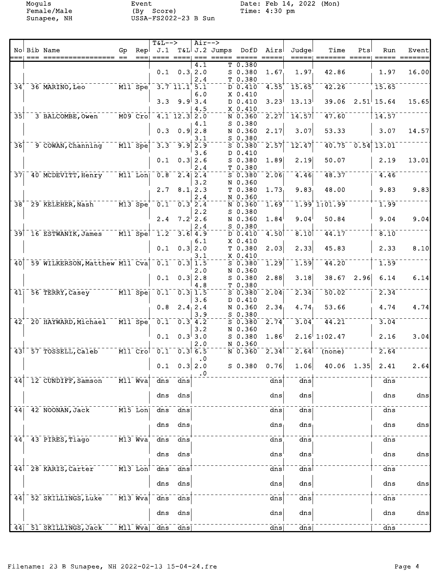Female/Male (By Score) Time: 4:30 pm Sunapee, NH USSA-FS2022-23 B Sun

Moguls Event Event Date: Feb 14, 2022 (Mon)<br>Female/Male (By Score) Time: 4:30 pm

|                 | No Bib Name                             | Gp                                 | Repl | $T&L-->$<br>J.1                                                                           |                                                    | $Air--$             | T&L J.2 Jumps DofD |                      | Airs              | Judgel                 | Time          | Pts  | Run                       | Event          |
|-----------------|-----------------------------------------|------------------------------------|------|-------------------------------------------------------------------------------------------|----------------------------------------------------|---------------------|--------------------|----------------------|-------------------|------------------------|---------------|------|---------------------------|----------------|
|                 |                                         |                                    |      |                                                                                           |                                                    |                     |                    |                      |                   |                        |               |      |                           |                |
|                 |                                         |                                    |      |                                                                                           |                                                    | 4.1                 |                    | T 0.380              |                   |                        |               |      |                           |                |
|                 |                                         |                                    |      |                                                                                           | $0.1 \quad 0.3 \quad 2.0$                          | 2.4                 |                    | $S$ 0.380            | 1.67              | 1.97                   | 42.86         |      | 1.97                      | 16.00          |
| $34^{\dagger}$  | 36 MARINO, Leo                          |                                    |      | $--- \overline{M11} \overline{S}pe^{+} - 3.7 \overline{11.1} \overline{1} \overline{5.1}$ |                                                    |                     |                    | T 0.380<br>D 0.410   | $4.55^{\dagger}$  | 15.65                  | 42.26         |      | 15.65                     |                |
|                 |                                         |                                    |      |                                                                                           |                                                    | 6.0                 |                    | $X$ 0.410            |                   |                        |               |      |                           |                |
|                 |                                         |                                    |      |                                                                                           | $3.3$ $9.9$ 3.4                                    |                     |                    | D 0.410              | 3.23              | 13.13                  | 39.06         |      | $2.51$ <sup> </sup> 15.64 | 15.65          |
|                 |                                         |                                    |      |                                                                                           |                                                    | 4.5                 |                    | $X$ 0.410            |                   |                        |               |      |                           |                |
| 35              | 3 BALCOMBE, Owen                        |                                    |      | M09 Cro 4.1 12.3 2.0                                                                      |                                                    |                     |                    | N 0.360              | $\overline{2.27}$ | $-14.57$               | 47.60         |      | 14.57                     |                |
|                 |                                         |                                    |      |                                                                                           |                                                    | 4.1                 |                    | S 0.380              |                   |                        |               |      |                           |                |
|                 |                                         |                                    |      |                                                                                           | $0.3$ $0.9$ 2.8                                    |                     |                    | N 0.360              | 2.17              | 3.07                   | 53.33         |      | 3.07                      | 14.57          |
|                 |                                         | $M11$ Spe                          |      | $3.3^{-}$                                                                                 | 9.9                                                | 3.1                 |                    | S 0.380              | 2.57              | 12.47                  | 40.75         |      | $0.54$ 13.01              |                |
| $\overline{36}$ | 9 COWAN, Channing                       |                                    |      |                                                                                           |                                                    | 2.9<br>3.6          |                    | $S$ 0.380<br>D 0.410 |                   |                        |               |      |                           |                |
|                 |                                         |                                    |      | 0.1                                                                                       |                                                    | $0.3$ 2.6           |                    | $S$ 0.380            | 1.89              | 2.19                   | 50.07         |      | 2.19                      | 13.01          |
|                 |                                         |                                    |      |                                                                                           |                                                    | 2.4                 |                    | T 0.380              |                   |                        |               |      |                           |                |
| $\overline{37}$ | 40 MCDEVITT, Henry                      | $\overline{M11}$ Lon               |      |                                                                                           | $0.8$ $2.4$ $2.4$                                  |                     |                    | $S$ 0.380            | 2.06              | 4.46                   | 48.37         |      | 4.46                      |                |
|                 |                                         |                                    |      |                                                                                           |                                                    | 3.2                 |                    | N 0.360              |                   |                        |               |      |                           |                |
|                 |                                         |                                    |      | 2.7                                                                                       |                                                    | 8.1, 2.3            |                    | T 0.380              | 1.73              | 9.83                   | 48.00         |      | 9.83                      | 9.83           |
|                 |                                         |                                    |      |                                                                                           |                                                    | 2.4                 |                    | N 0.360              |                   |                        |               |      |                           |                |
| $\overline{38}$ | 29 KELEHER, Nash M13 Spe                |                                    |      |                                                                                           | $0.1 - 0.3$ 2.4                                    |                     |                    | N 0.360              | 1.69              |                        | 1.99'1:01.99  |      | 1.99                      |                |
|                 |                                         |                                    |      | 2.4                                                                                       | $7.2$ 2.6                                          | 2.2                 |                    | $S$ 0.380            | 1.84              | 9.04                   | 50.84         |      | 9.04                      | 9.04           |
|                 |                                         |                                    |      |                                                                                           |                                                    | 2.4                 |                    | N 0.360<br>S 0.380   |                   |                        |               |      |                           |                |
|                 | 39 16 ESTWANIK, James                   |                                    |      | $-$ M11 Spe $\vert$ $-$ 1.2 $-$ 3.6 4.9                                                   |                                                    |                     |                    | D 0.410              | 4.50              | $\overline{8.10}$      | 44.17         |      | 8.10                      |                |
|                 |                                         |                                    |      |                                                                                           |                                                    | 6.1                 |                    | $X_0.410$            |                   |                        |               |      |                           |                |
|                 |                                         |                                    |      | 0.1                                                                                       |                                                    | $0.3$ 2.0           |                    | T 0.380              | 2.03              | 2.33                   | 45.83         |      | 2.33                      | 8.10           |
|                 |                                         |                                    |      |                                                                                           |                                                    | 3.1                 |                    | $X$ 0.410            |                   |                        |               |      |                           |                |
| $\overline{40}$ | 59 WILKERSON, Matthew M11 Cva           |                                    |      |                                                                                           | $0.1 - 0.3$ 1.5                                    |                     |                    | $S$ 0.380            | 1.29              | 1.59                   | 44.20         |      | 1.59                      |                |
|                 |                                         |                                    |      |                                                                                           |                                                    | 2.0                 |                    | N 0.360              |                   |                        |               |      |                           |                |
|                 |                                         |                                    |      | 0.1                                                                                       |                                                    | $0.3$ 2.8<br>4.8    |                    | $S$ 0.380<br>T 0.380 | 2.88              | 3.18                   | 38.67         | 2.96 | 6.14                      | 6.14           |
| 41              | 56 TERRY, Casey                         | $\overline{M11}$ Spe               |      |                                                                                           | $\overline{0.1}$ $\overline{0.3}$ $\overline{1.5}$ |                     |                    | $S$ 0.380            | 2.04              | $\overline{2.34}$      | 50.02         |      | 2.34                      |                |
|                 |                                         |                                    |      |                                                                                           |                                                    | 3.6                 |                    | D 0.410              |                   |                        |               |      |                           |                |
|                 |                                         |                                    |      | 0.8                                                                                       |                                                    | 2.4, 2.4            |                    | N 0.360              | 2.34              | 4.74                   | 53.66         |      | 4.74                      | 4.74           |
|                 |                                         |                                    |      |                                                                                           |                                                    | 3.9                 |                    | $S$ 0.380            |                   |                        |               |      |                           |                |
| 42 <sup>1</sup> | 20 HAYWARD, Michael M11 Spe 0.1 0.3 4.2 |                                    |      |                                                                                           |                                                    |                     |                    | $S$ 0.380            | 2.74              | 3.04                   | 44.21         |      | 3.04                      |                |
|                 |                                         |                                    |      | 0.1                                                                                       |                                                    | 3.2<br>$0.3^{1}3.0$ |                    | N 0.360              | 1.86              |                        | 2.16 1:02.47  |      | 2.16                      | 3.04           |
|                 |                                         |                                    |      |                                                                                           |                                                    | 2.0                 |                    | $S$ 0.380<br>N 0.360 |                   |                        |               |      |                           |                |
|                 | 43 57 TOSSELL, Caleb                    |                                    |      | M11 Crol 0.1 0.3 6.5                                                                      |                                                    |                     |                    | $N$ 0.360 2.34       |                   |                        | $2.64$ (none) |      | 2.64                      |                |
|                 |                                         |                                    |      |                                                                                           |                                                    | $\cdot 0$           |                    |                      |                   |                        |               |      |                           |                |
|                 |                                         |                                    |      |                                                                                           | $0.1 \quad 0.3   2.0$                              |                     |                    | S 0.380              | 0.76              | 1.06                   | $40.06$ 1.35  |      | 2.41                      | 2.64           |
|                 |                                         |                                    |      |                                                                                           |                                                    | $\cdot$ 0           |                    |                      |                   |                        |               |      |                           |                |
| 44              | 12 CUNDIFF, Samson                      | $\overline{M11}$ $\overline{W}$ va |      | dns                                                                                       | dns                                                |                     |                    |                      | dns               | dns                    |               |      | dns                       |                |
|                 |                                         |                                    |      |                                                                                           |                                                    |                     |                    |                      |                   |                        |               |      |                           |                |
|                 |                                         |                                    |      | dns                                                                                       | dns                                                |                     |                    |                      | dns               | dns                    |               |      | dns                       | $\frac{d}{ds}$ |
| 44              | 42 NOONAN, Jack                         | $M15$ Lon                          |      | dns                                                                                       | dns                                                |                     |                    |                      | dns               | dns                    |               |      | dns                       |                |
|                 |                                         |                                    |      |                                                                                           |                                                    |                     |                    |                      |                   |                        |               |      |                           |                |
|                 |                                         |                                    |      | dns                                                                                       | dns                                                |                     |                    |                      | dns               | dns                    |               |      | dns                       | dns            |
|                 |                                         |                                    |      |                                                                                           |                                                    |                     |                    |                      |                   |                        |               |      |                           |                |
| 44              | 43 PIRES, Tiago                         | M13 Wva                            |      | $\frac{1}{\text{dns}}$                                                                    | dns                                                |                     |                    |                      | dns               | dns                    |               |      | dns                       |                |
|                 |                                         |                                    |      | dns                                                                                       |                                                    |                     |                    |                      | dns               |                        |               |      |                           |                |
|                 |                                         |                                    |      |                                                                                           | dns                                                |                     |                    |                      |                   | dns                    |               |      | dns                       | dns            |
| 441             | 28 KARIS, Carter                        | $\overline{M13}$ Lon               |      | $\frac{1}{\text{dns}}$                                                                    | dns                                                |                     |                    |                      | dnsl              | dns                    |               |      | dns                       |                |
|                 |                                         |                                    |      |                                                                                           |                                                    |                     |                    |                      |                   |                        |               |      |                           |                |
|                 |                                         |                                    |      | dns                                                                                       | dns                                                |                     |                    |                      | dns               | dns                    |               |      | dns                       | dns            |
|                 |                                         |                                    |      |                                                                                           |                                                    |                     |                    |                      |                   |                        |               |      |                           |                |
| 44              | 52 SKILLINGS, Luke                      | $M13$ Wva                          |      | $\frac{1}{\text{dns}}$                                                                    | $\frac{1}{\text{dns}}$                             |                     |                    |                      | dns               | $\frac{1}{\text{ans}}$ |               |      | dns                       |                |
|                 |                                         |                                    |      | dns                                                                                       | dns                                                |                     |                    |                      | dns               | dns                    |               |      | dns                       | dns            |
|                 |                                         |                                    |      |                                                                                           |                                                    |                     |                    |                      |                   |                        |               |      |                           |                |
| 44              | 51 SKILLINGS, Jack                      | $M11$ Wva                          |      | dns                                                                                       | dns                                                |                     |                    |                      | dns               | dns                    |               |      | $\frac{1}{\text{dns}}$    |                |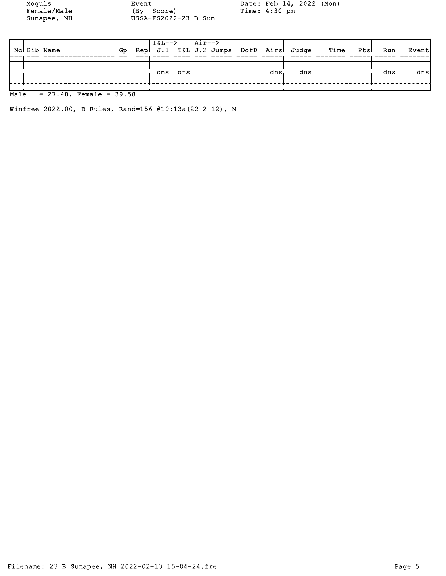Moguls Event Event Date: Feb 14, 2022 (Mon) Female/Male (By Score) Time: 4:30 pm

USSA-FS2022-23 B Sun

|  |             |     | $T&L--&\text{Air--}&$ |         |  |     |                                       |           |     |       |
|--|-------------|-----|-----------------------|---------|--|-----|---------------------------------------|-----------|-----|-------|
|  | No Bib Name | Gp. |                       |         |  |     | Rep J.1 T&L J.2 Jumps DofD Airs Judge | Time Ptsl | Run | Event |
|  |             |     |                       |         |  |     |                                       |           |     |       |
|  |             |     |                       |         |  |     |                                       |           |     |       |
|  |             |     |                       | dns dns |  | dns | dns                                   |           | dns | dns   |
|  |             |     |                       |         |  |     |                                       |           |     |       |

## $Male = 27.48$ , Female = 39.58

Winfree 2022.00, B Rules, Rand=156 @10:13a(22-2-12), M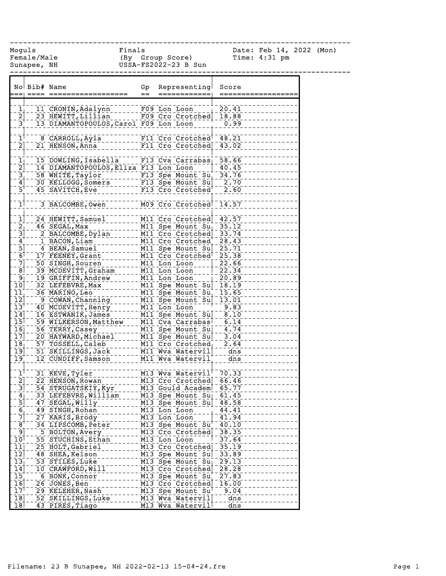| Moguls                                      | Female/Male<br>Sunapee, NH |                                                      | Finals    | (By Group Score)<br>USSA-FS2022-23 B Sun                                                          |                       | Date: Feb 14, 2022 (Mon)<br>Time: $4:31$ pm |  |
|---------------------------------------------|----------------------------|------------------------------------------------------|-----------|---------------------------------------------------------------------------------------------------|-----------------------|---------------------------------------------|--|
|                                             | No Bib# Name               | $\qquad \qquad \texttt{-----} \qquad \texttt{-----}$ | Gp<br>$=$ | Representing                                                                                      | Score                 |                                             |  |
|                                             |                            | 11 CRONIN, Adalynn                                   |           |                                                                                                   | 20.41                 |                                             |  |
| $\begin{bmatrix} 1 \\ 2 \end{bmatrix}$      |                            | 23 HEWITT, Lillian                                   |           | F09 Lon Loon 20.41<br>F09 Cro Crotched 18.88                                                      |                       |                                             |  |
| $3^{1}$                                     |                            | 13 DIAMANTOPOULOS, Carol F09 Lon Loon                |           |                                                                                                   | 0.99                  |                                             |  |
| $\bar{\textbf{1}}^\dagger$                  |                            |                                                      |           |                                                                                                   |                       |                                             |  |
| $\overline{2}$ ]                            |                            | 21 HENSON, Anna                                      |           | F11 Cro Crotched                                                                                  | 43.02                 |                                             |  |
|                                             |                            |                                                      |           |                                                                                                   |                       |                                             |  |
| $\mathbf{\bar{1}}_1$                        |                            | 15 DOWLING, Isabella                                 |           | F13 Cva Carrabas 58.66                                                                            |                       |                                             |  |
| $\begin{bmatrix} 2 \\ 3 \\ 4 \end{bmatrix}$ |                            | 14 DIAMANTOPOULOS, Eliza F13 Lon Loon                |           |                                                                                                   | 40.45                 |                                             |  |
|                                             |                            | 58 WHITE, Taylor                                     |           | --- F13 Spe Mount Su <sup>+</sup> 34.76<br>-- F13 Spe Mount Su  2.70<br>-- F13 Spe Mount Su  2.70 |                       |                                             |  |
| $\overline{5}$ <sup>1</sup>                 |                            | 30 KELLOGG, Somers                                   |           | F13 Cro Crotched                                                                                  |                       |                                             |  |
|                                             |                            | 45 SAVITCH, Eve                                      |           |                                                                                                   | 2.60                  |                                             |  |
| 1                                           |                            | 3 BALCOMBE, Owen                                     |           | M09 Cro Crotched <sup>1</sup> 14.57                                                               |                       |                                             |  |
| $\mathbf{1}$                                |                            | 24 HEWITT, Samuel                                    |           | M11 Cro Crotched                                                                                  | 42.57                 |                                             |  |
|                                             |                            | 46 SEGAL, Max                                        |           | M11 Spe Mount $Su_{\perp}$                                                                        | 35.12                 |                                             |  |
| $\begin{bmatrix} 2 \\ 3 \end{bmatrix}$      |                            | 2 BALCOMBE, Dylan                                    |           | M11 Cro Crotched                                                                                  | 33.74                 |                                             |  |
| $\mathbf{4}$                                |                            | _1_BACON,Liam                                        |           | MII Cro Crotched                                                                                  | 28.43                 |                                             |  |
|                                             |                            | 4 BEAN, Samuel                                       |           | M11 Spe Mount Su                                                                                  | 25.71                 |                                             |  |
| $\frac{1}{6}$                               |                            | 17 FEENEY, Grant                                     |           | M11 Cro Crotched <sup>1</sup>                                                                     | 25.38                 |                                             |  |
| $\bar{7}$                                   |                            | 50 SINGH, Souren                                     |           | M11 Lon Loon                                                                                      | 22.66                 |                                             |  |
| $\overline{8}$                              |                            | 39 MCDEVITT, Graham                                  |           | M11 Lon Loon                                                                                      | 22.34                 |                                             |  |
| [9⊺                                         |                            | 19 GRIFFIN, Andrew                                   |           | M11 Lon Loon                                                                                      | 20.89                 |                                             |  |
| $\overline{10}$                             |                            | 32 LEFEBVRE, Max                                     |           | M11 Spe Mount Su                                                                                  | 18.19                 |                                             |  |
| $\overline{11}$                             |                            | 36 MARINO, Leo                                       |           | M11 Spe Mount Su                                                                                  | 15.65                 |                                             |  |
| $\overline{12}$                             |                            | 9 COWAN, Channing                                    |           | M11 Spe Mount Su                                                                                  | 13.01                 |                                             |  |
| $13^1$                                      |                            | 40 MCDEVITT, Henry                                   |           | M11 Lon Loon                                                                                      | 9.83                  |                                             |  |
| $\overline{14}$<br>$\overline{15}$          |                            | 16 ESTWANIK, James                                   |           | M11 Spe Mount Su<br>M11 Cva Carrabas <sup>T</sup>                                                 | $-8.10$<br>6.14       |                                             |  |
| 16                                          |                            | 59 WILKERSON, Matthew                                |           | M11 Spe Mount Sul 4.74                                                                            |                       |                                             |  |
| $\overline{17}$                             |                            | 56 TERRY, Casey<br>20 HAYWARD, Michael               |           | M11 Spe Mount Su                                                                                  | 3.04                  |                                             |  |
| 18 <sub>1</sub>                             |                            | 57 TOSSELL, Caleb                                    |           | M11 Cro Crotched                                                                                  | $\frac{1}{2}$<br>2.64 |                                             |  |
| $\overline{19}$                             |                            | 51 SKILLINGS, Jack                                   |           | M11 Wva Watervil                                                                                  | $\frac{1}{2}$ dns     |                                             |  |
| $\overline{19}$                             |                            | 12 CUNDIFF, Samson                                   |           | M11 Wva Watervil                                                                                  | dns                   |                                             |  |
|                                             |                            |                                                      |           |                                                                                                   |                       |                                             |  |
| $\bar{1}^\dagger$                           |                            | 31 KEVE, Tyler                                       |           | M13 Wva Watervil                                                                                  | 70.33                 |                                             |  |
| $\frac{2}{3}$                               |                            | 22 HENSON, Rowan                                     |           | M13 Cro Crotched                                                                                  | 66.46                 |                                             |  |
|                                             |                            | 54 STRUGATSKIY, Kyr                                  |           | M13 Gould Academ                                                                                  | 65.77                 |                                             |  |
|                                             |                            | 33 LEFEBVRE, William                                 |           | M13 Spe Mount Su                                                                                  | 61.45                 |                                             |  |
| $\frac{4}{5}$ $\frac{5}{7}$                 |                            | 47 SEGAL, Willy<br>49 SINGH, Rohan                   |           | M13 Spe Mount Su<br>M13 Lon Loon                                                                  | 48.58                 |                                             |  |
|                                             |                            | 27 KARIS, Brody                                      |           | M13 Lon Loon                                                                                      | 44.41<br>41.94        |                                             |  |
| $\bar{8}$                                   |                            | 34 LIPSCOMB, Peter                                   |           | M13 Spe Mount Su                                                                                  | 40.10                 |                                             |  |
| $\overline{9}$                              |                            | 5 BOLTON, Avery                                      |           | M13 Cro Crotched                                                                                  | 38.35                 |                                             |  |
| 10 <sup>1</sup>                             |                            | 55 STUCHINS, Ethan                                   |           | M13 Lon Loon                                                                                      | 37.64                 |                                             |  |
| $\overline{11}$                             |                            | 25 HOLT, Gabriel                                     |           | M13 Cro Crotched                                                                                  | 35.19                 |                                             |  |
| $\overline{1}\overline{2}$                  |                            | 48 SHEA, Kelson                                      |           | M13 Spe Mount Su                                                                                  | 33.89                 |                                             |  |
| $\overline{13}$                             |                            | 53 STILES, Luke                                      |           | M13 Spe Mount Su                                                                                  | 29.13                 |                                             |  |
| 14                                          |                            | 10 CRAWFORD, Will                                    |           | M13 Cro Crotched                                                                                  | 28.28                 |                                             |  |
| $\overline{15}$                             |                            | 6 BONK, Connor                                       |           | M13 Spe Mount Su                                                                                  | 27.83                 |                                             |  |
| $\overline{16}$                             |                            | 26 JONES, Ben                                        |           | M13 Cro Crotched                                                                                  | 16.00                 |                                             |  |
| $17^1$                                      |                            | 29 KELEHER, Nash                                     |           | M13 Spe Mount Su                                                                                  | 9.04                  |                                             |  |
| $\overline{18}$                             |                            | 52 SKILLINGS, Luke                                   |           | M13 Wva Watervil                                                                                  | dns                   |                                             |  |
| 18                                          |                            | 43 PIRES, Tiago                                      |           | M13 Wva Watervil                                                                                  | dns                   |                                             |  |